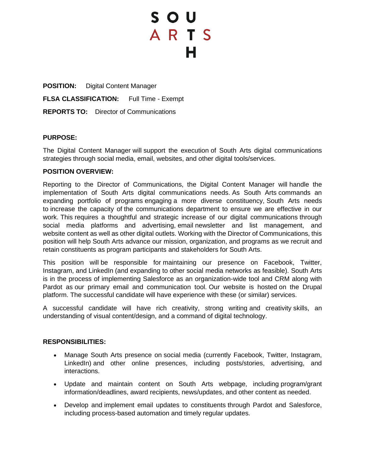# S O U ARTS

**POSITION:** Digital Content Manager **FLSA CLASSIFICATION:** Full Time - Exempt **REPORTS TO:** Director of Communications

## **PURPOSE:**

The Digital Content Manager will support the execution of South Arts digital communications strategies through social media, email, websites, and other digital tools/services.

## **POSITION OVERVIEW:**

Reporting to the Director of Communications, the Digital Content Manager will handle the implementation of South Arts digital communications needs. As South Arts commands an expanding portfolio of programs engaging a more diverse constituency, South Arts needs to increase the capacity of the communications department to ensure we are effective in our work. This requires a thoughtful and strategic increase of our digital communications through social media platforms and advertising, email newsletter and list management, and website content as well as other digital outlets. Working with the Director of Communications, this position will help South Arts advance our mission, organization, and programs as we recruit and retain constituents as program participants and stakeholders for South Arts.

This position will be responsible for maintaining our presence on Facebook, Twitter, Instagram, and LinkedIn (and expanding to other social media networks as feasible). South Arts is in the process of implementing Salesforce as an organization-wide tool and CRM along with Pardot as our primary email and communication tool. Our website is hosted on the Drupal platform. The successful candidate will have experience with these (or similar) services.

A successful candidate will have rich creativity, strong writing and creativity skills, an understanding of visual content/design, and a command of digital technology.

#### **RESPONSIBILITIES:**

- Manage South Arts presence on social media (currently Facebook, Twitter, Instagram, LinkedIn) and other online presences, including posts/stories, advertising, and interactions.
- Update and maintain content on South Arts webpage, including program/grant information/deadlines, award recipients, news/updates, and other content as needed.
- Develop and implement email updates to constituents through Pardot and Salesforce, including process-based automation and timely regular updates.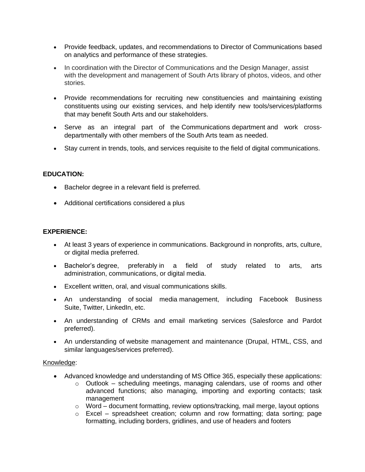- Provide feedback, updates, and recommendations to Director of Communications based on analytics and performance of these strategies.
- In coordination with the Director of Communications and the Design Manager, assist with the development and management of South Arts library of photos, videos, and other stories.
- Provide recommendations for recruiting new constituencies and maintaining existing constituents using our existing services, and help identify new tools/services/platforms that may benefit South Arts and our stakeholders.
- Serve as an integral part of the Communications department and work crossdepartmentally with other members of the South Arts team as needed.
- Stay current in trends, tools, and services requisite to the field of digital communications.

# **EDUCATION:**

- Bachelor degree in a relevant field is preferred.
- Additional certifications considered a plus

## **EXPERIENCE:**

- At least 3 years of experience in communications. Background in nonprofits, arts, culture, or digital media preferred.
- Bachelor's degree, preferably in a field of study related to arts, arts administration, communications, or digital media.
- Excellent written, oral, and visual communications skills.
- An understanding of social media management, including Facebook Business Suite, Twitter, LinkedIn, etc.
- An understanding of CRMs and email marketing services (Salesforce and Pardot preferred).
- An understanding of website management and maintenance (Drupal, HTML, CSS, and similar languages/services preferred).

## Knowledge:

- Advanced knowledge and understanding of MS Office 365, especially these applications:
	- o Outlook scheduling meetings, managing calendars, use of rooms and other advanced functions; also managing, importing and exporting contacts; task management
	- o Word document formatting, review options/tracking, mail merge, layout options
	- o Excel spreadsheet creation; column and row formatting; data sorting; page formatting, including borders, gridlines, and use of headers and footers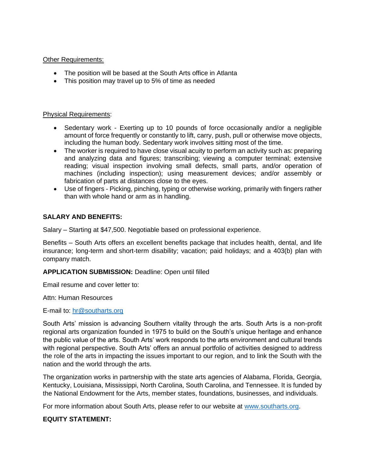#### Other Requirements:

- The position will be based at the South Arts office in Atlanta
- This position may travel up to 5% of time as needed

#### Physical Requirements:

- Sedentary work Exerting up to 10 pounds of force occasionally and/or a negligible amount of force frequently or constantly to lift, carry, push, pull or otherwise move objects, including the human body. Sedentary work involves sitting most of the time.
- The worker is required to have close visual acuity to perform an activity such as: preparing and analyzing data and figures; transcribing; viewing a computer terminal; extensive reading; visual inspection involving small defects, small parts, and/or operation of machines (including inspection); using measurement devices; and/or assembly or fabrication of parts at distances close to the eyes.
- Use of fingers Picking, pinching, typing or otherwise working, primarily with fingers rather than with whole hand or arm as in handling.

## **SALARY AND BENEFITS:**

Salary – Starting at \$47,500. Negotiable based on professional experience.

Benefits – South Arts offers an excellent benefits package that includes health, dental, and life insurance; long-term and short-term disability; vacation; paid holidays; and a 403(b) plan with company match.

## **APPLICATION SUBMISSION:** Deadline: Open until filled

Email resume and cover letter to:

Attn: Human Resources

E-mail to: [hr@southarts.org](mailto:hr@southarts.org)

South Arts' mission is advancing Southern vitality through the arts. South Arts is a non-profit regional arts organization founded in 1975 to build on the South's unique heritage and enhance the public value of the arts. South Arts' work responds to the arts environment and cultural trends with regional perspective. South Arts' offers an annual portfolio of activities designed to address the role of the arts in impacting the issues important to our region, and to link the South with the nation and the world through the arts.

The organization works in partnership with the state arts agencies of Alabama, Florida, Georgia, Kentucky, Louisiana, Mississippi, North Carolina, South Carolina, and Tennessee. It is funded by the National Endowment for the Arts, member states, foundations, businesses, and individuals.

For more information about South Arts, please refer to our website at [www.southarts.org.](http://www.southarts.org/)

## **EQUITY STATEMENT:**